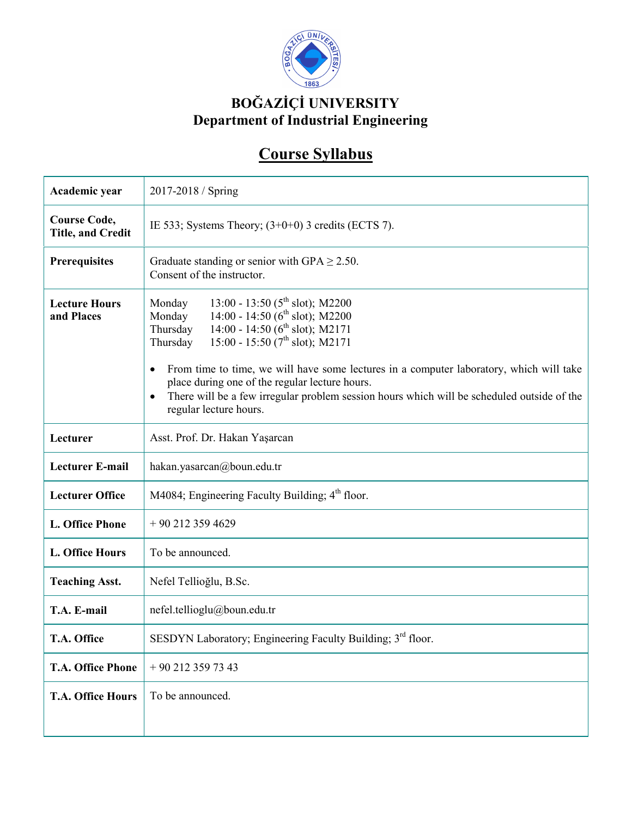

## **BOĞAZİÇİ UNIVERSITY Department of Industrial Engineering**

## **Course Syllabus**

| Academic year                                   | 2017-2018 / Spring                                                                                                                                                                                                                                                                                                                                                                                                                                                                                              |
|-------------------------------------------------|-----------------------------------------------------------------------------------------------------------------------------------------------------------------------------------------------------------------------------------------------------------------------------------------------------------------------------------------------------------------------------------------------------------------------------------------------------------------------------------------------------------------|
| <b>Course Code,</b><br><b>Title, and Credit</b> | IE 533; Systems Theory; $(3+0+0)$ 3 credits (ECTS 7).                                                                                                                                                                                                                                                                                                                                                                                                                                                           |
| <b>Prerequisites</b>                            | Graduate standing or senior with GPA $\geq$ 2.50.<br>Consent of the instructor.                                                                                                                                                                                                                                                                                                                                                                                                                                 |
| <b>Lecture Hours</b><br>and Places              | 13:00 - 13:50 ( $5^{\text{th}}$ slot); M2200<br>Monday<br>14:00 - 14:50 (6 <sup>th</sup> slot); M2200<br>Monday<br>14:00 - 14:50 ( $6th$ slot); M2171<br>Thursday<br>15:00 - 15:50 ( $7^{\text{th}}$ slot); M2171<br>Thursday<br>From time to time, we will have some lectures in a computer laboratory, which will take<br>place during one of the regular lecture hours.<br>There will be a few irregular problem session hours which will be scheduled outside of the<br>$\bullet$<br>regular lecture hours. |
| Lecturer                                        | Asst. Prof. Dr. Hakan Yaşarcan                                                                                                                                                                                                                                                                                                                                                                                                                                                                                  |
| <b>Lecturer E-mail</b>                          | hakan.yasarcan@boun.edu.tr                                                                                                                                                                                                                                                                                                                                                                                                                                                                                      |
| <b>Lecturer Office</b>                          | M4084; Engineering Faculty Building; 4 <sup>th</sup> floor.                                                                                                                                                                                                                                                                                                                                                                                                                                                     |
| <b>L. Office Phone</b>                          | $+90$ 212 359 4629                                                                                                                                                                                                                                                                                                                                                                                                                                                                                              |
| L. Office Hours                                 | To be announced.                                                                                                                                                                                                                                                                                                                                                                                                                                                                                                |
| <b>Teaching Asst.</b>                           | Nefel Tellioğlu, B.Sc.                                                                                                                                                                                                                                                                                                                                                                                                                                                                                          |
| T.A. E-mail                                     | nefel.tellioglu@boun.edu.tr                                                                                                                                                                                                                                                                                                                                                                                                                                                                                     |
| T.A. Office                                     | SESDYN Laboratory; Engineering Faculty Building; 3 <sup>rd</sup> floor.                                                                                                                                                                                                                                                                                                                                                                                                                                         |
| <b>T.A. Office Phone</b>                        | $+90$ 212 359 73 43                                                                                                                                                                                                                                                                                                                                                                                                                                                                                             |
| <b>T.A. Office Hours</b>                        | To be announced.                                                                                                                                                                                                                                                                                                                                                                                                                                                                                                |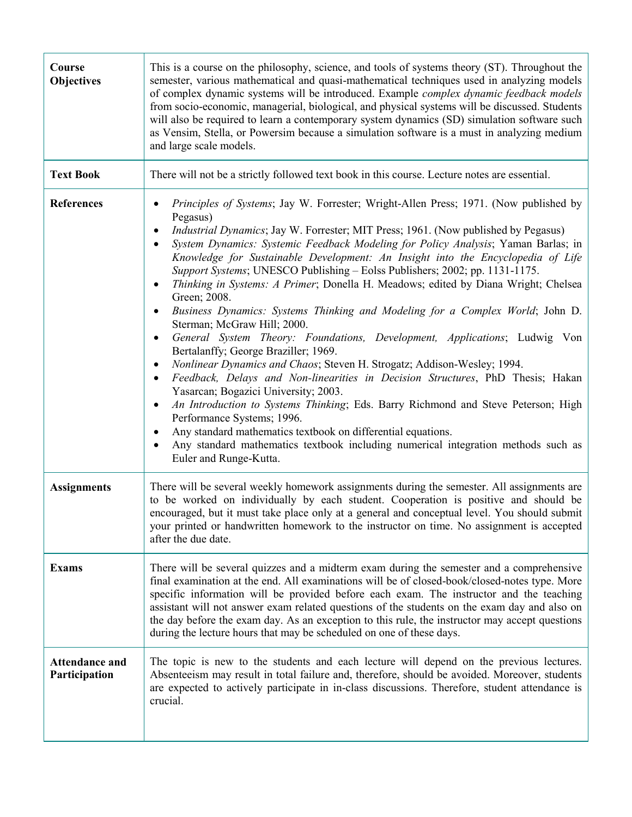| Course<br><b>Objectives</b>            | This is a course on the philosophy, science, and tools of systems theory (ST). Throughout the<br>semester, various mathematical and quasi-mathematical techniques used in analyzing models<br>of complex dynamic systems will be introduced. Example <i>complex dynamic feedback models</i><br>from socio-economic, managerial, biological, and physical systems will be discussed. Students<br>will also be required to learn a contemporary system dynamics (SD) simulation software such<br>as Vensim, Stella, or Powersim because a simulation software is a must in analyzing medium<br>and large scale models.                                                                                                                                                                                                                                                                                                                                                                                                                                                                                                                                                                                                                                                                                                                                                                    |
|----------------------------------------|-----------------------------------------------------------------------------------------------------------------------------------------------------------------------------------------------------------------------------------------------------------------------------------------------------------------------------------------------------------------------------------------------------------------------------------------------------------------------------------------------------------------------------------------------------------------------------------------------------------------------------------------------------------------------------------------------------------------------------------------------------------------------------------------------------------------------------------------------------------------------------------------------------------------------------------------------------------------------------------------------------------------------------------------------------------------------------------------------------------------------------------------------------------------------------------------------------------------------------------------------------------------------------------------------------------------------------------------------------------------------------------------|
| <b>Text Book</b>                       | There will not be a strictly followed text book in this course. Lecture notes are essential.                                                                                                                                                                                                                                                                                                                                                                                                                                                                                                                                                                                                                                                                                                                                                                                                                                                                                                                                                                                                                                                                                                                                                                                                                                                                                            |
| <b>References</b>                      | Principles of Systems; Jay W. Forrester; Wright-Allen Press; 1971. (Now published by<br>Pegasus)<br><i>Industrial Dynamics</i> ; Jay W. Forrester; MIT Press; 1961. (Now published by Pegasus)<br>$\bullet$<br>System Dynamics: Systemic Feedback Modeling for Policy Analysis; Yaman Barlas; in<br>٠<br>Knowledge for Sustainable Development: An Insight into the Encyclopedia of Life<br>Support Systems; UNESCO Publishing - Eolss Publishers; 2002; pp. 1131-1175.<br>Thinking in Systems: A Primer; Donella H. Meadows; edited by Diana Wright; Chelsea<br>٠<br>Green; 2008.<br>Business Dynamics: Systems Thinking and Modeling for a Complex World; John D.<br>$\bullet$<br>Sterman; McGraw Hill; 2000.<br>General System Theory: Foundations, Development, Applications; Ludwig Von<br>Bertalanffy; George Braziller; 1969.<br>Nonlinear Dynamics and Chaos; Steven H. Strogatz; Addison-Wesley; 1994.<br>$\bullet$<br>Feedback, Delays and Non-linearities in Decision Structures, PhD Thesis; Hakan<br>$\bullet$<br>Yasarcan; Bogazici University; 2003.<br>An Introduction to Systems Thinking; Eds. Barry Richmond and Steve Peterson; High<br>$\bullet$<br>Performance Systems; 1996.<br>Any standard mathematics textbook on differential equations.<br>٠<br>Any standard mathematics textbook including numerical integration methods such as<br>Euler and Runge-Kutta. |
| <b>Assignments</b>                     | There will be several weekly homework assignments during the semester. All assignments are<br>to be worked on individually by each student. Cooperation is positive and should be<br>encouraged, but it must take place only at a general and conceptual level. You should submit<br>your printed or handwritten homework to the instructor on time. No assignment is accepted<br>after the due date.                                                                                                                                                                                                                                                                                                                                                                                                                                                                                                                                                                                                                                                                                                                                                                                                                                                                                                                                                                                   |
| <b>Exams</b>                           | There will be several quizzes and a midterm exam during the semester and a comprehensive<br>final examination at the end. All examinations will be of closed-book/closed-notes type. More<br>specific information will be provided before each exam. The instructor and the teaching<br>assistant will not answer exam related questions of the students on the exam day and also on<br>the day before the exam day. As an exception to this rule, the instructor may accept questions<br>during the lecture hours that may be scheduled on one of these days.                                                                                                                                                                                                                                                                                                                                                                                                                                                                                                                                                                                                                                                                                                                                                                                                                          |
| <b>Attendance and</b><br>Participation | The topic is new to the students and each lecture will depend on the previous lectures.<br>Absenteeism may result in total failure and, therefore, should be avoided. Moreover, students<br>are expected to actively participate in in-class discussions. Therefore, student attendance is<br>crucial.                                                                                                                                                                                                                                                                                                                                                                                                                                                                                                                                                                                                                                                                                                                                                                                                                                                                                                                                                                                                                                                                                  |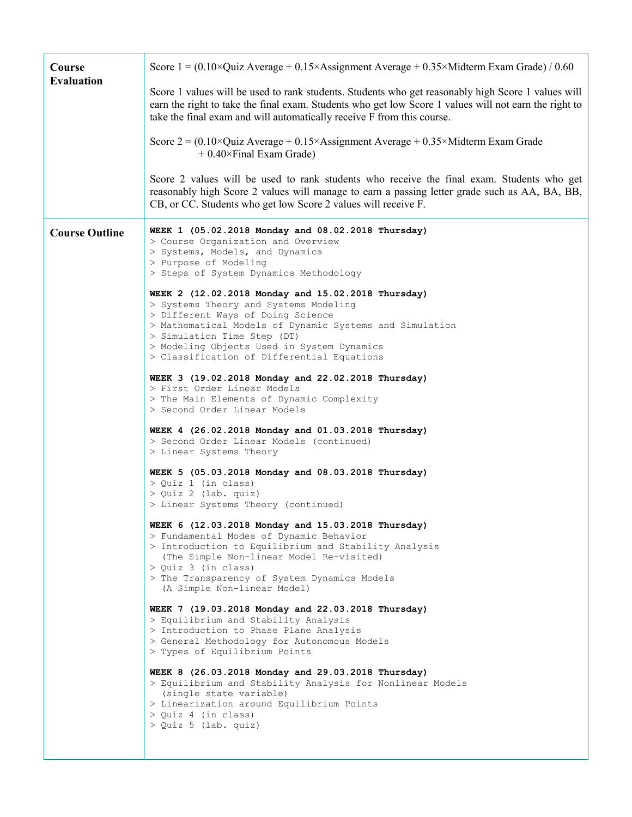| Course<br><b>Evaluation</b> | Score $1 = (0.10 \times Quiz)$ Average + 0.15×Assignment Average + 0.35×Midterm Exam Grade) / 0.60                                                                                                                                                                                                                     |
|-----------------------------|------------------------------------------------------------------------------------------------------------------------------------------------------------------------------------------------------------------------------------------------------------------------------------------------------------------------|
|                             | Score 1 values will be used to rank students. Students who get reasonably high Score 1 values will<br>earn the right to take the final exam. Students who get low Score 1 values will not earn the right to<br>take the final exam and will automatically receive F from this course.                                  |
|                             | Score $2 = (0.10 \times Q)$ uiz Average + 0.15×Assignment Average + 0.35×Midterm Exam Grade<br>$+0.40\times$ Final Exam Grade)                                                                                                                                                                                         |
|                             | Score 2 values will be used to rank students who receive the final exam. Students who get<br>reasonably high Score 2 values will manage to earn a passing letter grade such as AA, BA, BB,<br>CB, or CC. Students who get low Score 2 values will receive F.                                                           |
| <b>Course Outline</b>       | WEEK 1 (05.02.2018 Monday and 08.02.2018 Thursday)<br>> Course Organization and Overview<br>> Systems, Models, and Dynamics<br>> Purpose of Modeling<br>> Steps of System Dynamics Methodology                                                                                                                         |
|                             | WEEK 2 (12.02.2018 Monday and 15.02.2018 Thursday)<br>> Systems Theory and Systems Modeling<br>> Different Ways of Doing Science<br>> Mathematical Models of Dynamic Systems and Simulation<br>> Simulation Time Step (DT)<br>> Modeling Objects Used in System Dynamics<br>> Classification of Differential Equations |
|                             | WEEK 3 (19.02.2018 Monday and 22.02.2018 Thursday)<br>> First Order Linear Models<br>> The Main Elements of Dynamic Complexity<br>> Second Order Linear Models                                                                                                                                                         |
|                             | WEEK 4 (26.02.2018 Monday and 01.03.2018 Thursday)<br>> Second Order Linear Models (continued)<br>> Linear Systems Theory                                                                                                                                                                                              |
|                             | WEEK 5 (05.03.2018 Monday and 08.03.2018 Thursday)<br>> Quiz 1 (in class)<br>> Quiz 2 (lab. quiz)<br>> Linear Systems Theory (continued)                                                                                                                                                                               |
|                             | WEEK 6 (12.03.2018 Monday and 15.03.2018 Thursday)<br>> Fundamental Modes of Dynamic Behavior<br>> Introduction to Equilibrium and Stability Analysis<br>(The Simple Non-linear Model Re-visited)<br>> Quiz 3 (in class)<br>> The Transparency of System Dynamics Models<br>(A Simple Non-linear Model)                |
|                             | WEEK 7 (19.03.2018 Monday and 22.03.2018 Thursday)<br>> Equilibrium and Stability Analysis<br>> Introduction to Phase Plane Analysis<br>> General Methodology for Autonomous Models<br>> Types of Equilibrium Points                                                                                                   |
|                             | WEEK 8 (26.03.2018 Monday and 29.03.2018 Thursday)<br>> Equilibrium and Stability Analysis for Nonlinear Models<br>(single state variable)<br>> Linearization around Equilibrium Points<br>> Quiz 4 (in class)<br>> Quiz 5 (lab. quiz)                                                                                 |